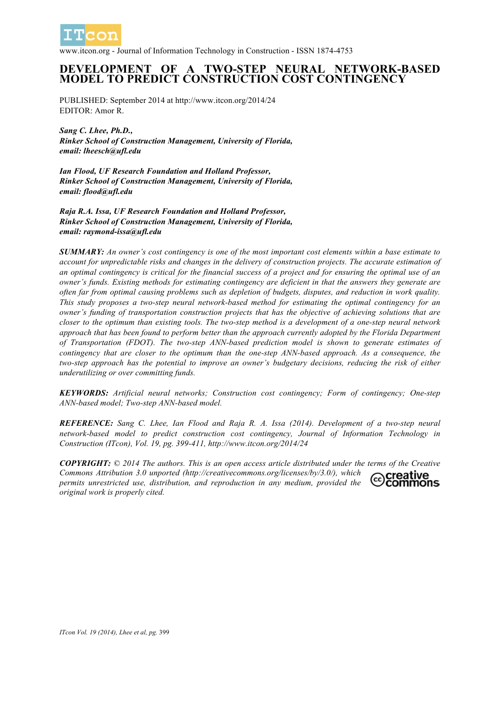

www.itcon.org - Journal of Information Technology in Construction - ISSN 1874-4753

## **DEVELOPMENT OF A TWO-STEP NEURAL NETWORK-BASED MODEL TO PREDICT CONSTRUCTION COST CONTINGENCY**

PUBLISHED: September 2014 at http://www.itcon.org/2014/24 EDITOR: Amor R.

*Sang C. Lhee, Ph.D., Rinker School of Construction Management, University of Florida, email: lheesch@ufl.edu*

*Ian Flood, UF Research Foundation and Holland Professor, Rinker School of Construction Management, University of Florida, email: flood@ufl.edu*

*Raja R.A. Issa, UF Research Foundation and Holland Professor, Rinker School of Construction Management, University of Florida, email: raymond-issa@ufl.edu*

*SUMMARY: An owner's cost contingency is one of the most important cost elements within a base estimate to account for unpredictable risks and changes in the delivery of construction projects. The accurate estimation of an optimal contingency is critical for the financial success of a project and for ensuring the optimal use of an owner's funds. Existing methods for estimating contingency are deficient in that the answers they generate are often far from optimal causing problems such as depletion of budgets, disputes, and reduction in work quality. This study proposes a two-step neural network-based method for estimating the optimal contingency for an owner's funding of transportation construction projects that has the objective of achieving solutions that are closer to the optimum than existing tools. The two-step method is a development of a one-step neural network approach that has been found to perform better than the approach currently adopted by the Florida Department of Transportation (FDOT). The two-step ANN-based prediction model is shown to generate estimates of contingency that are closer to the optimum than the one-step ANN-based approach. As a consequence, the two-step approach has the potential to improve an owner's budgetary decisions, reducing the risk of either underutilizing or over committing funds.*

*KEYWORDS: Artificial neural networks; Construction cost contingency; Form of contingency; One-step ANN-based model; Two-step ANN-based model.*

*REFERENCE: Sang C. Lhee, Ian Flood and Raja R. A. Issa (2014). Development of a two-step neural network-based model to predict construction cost contingency, Journal of Information Technology in Construction (ITcon), Vol. 19, pg. 399-411, http://www.itcon.org/2014/24*

*COPYRIGHT: © 2014 The authors. This is an open access article distributed under the terms of the Creative Commons Attribution 3.0 unported (http://creativecommons.org/licenses/by/3.0/), which*  creative *permits unrestricted use, distribution, and reproduction in any medium, provided the*  commons *original work is properly cited.*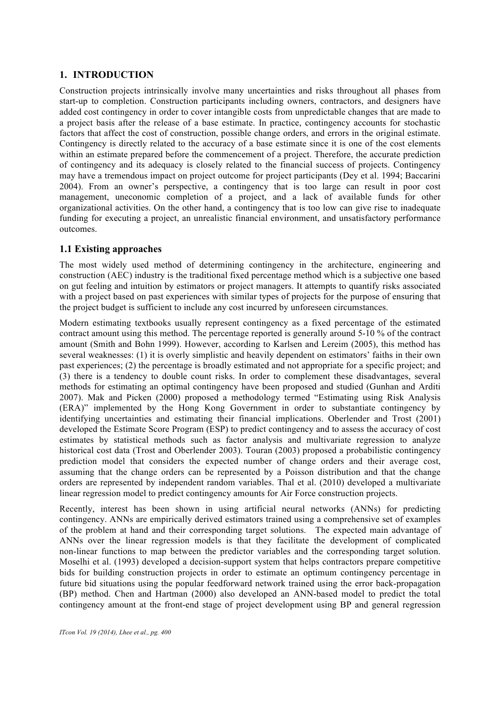## **1. INTRODUCTION**

Construction projects intrinsically involve many uncertainties and risks throughout all phases from start-up to completion. Construction participants including owners, contractors, and designers have added cost contingency in order to cover intangible costs from unpredictable changes that are made to a project basis after the release of a base estimate. In practice, contingency accounts for stochastic factors that affect the cost of construction, possible change orders, and errors in the original estimate. Contingency is directly related to the accuracy of a base estimate since it is one of the cost elements within an estimate prepared before the commencement of a project. Therefore, the accurate prediction of contingency and its adequacy is closely related to the financial success of projects. Contingency may have a tremendous impact on project outcome for project participants (Dey et al. 1994; Baccarini 2004). From an owner's perspective, a contingency that is too large can result in poor cost management, uneconomic completion of a project, and a lack of available funds for other organizational activities. On the other hand, a contingency that is too low can give rise to inadequate funding for executing a project, an unrealistic financial environment, and unsatisfactory performance outcomes.

### **1.1 Existing approaches**

The most widely used method of determining contingency in the architecture, engineering and construction (AEC) industry is the traditional fixed percentage method which is a subjective one based on gut feeling and intuition by estimators or project managers. It attempts to quantify risks associated with a project based on past experiences with similar types of projects for the purpose of ensuring that the project budget is sufficient to include any cost incurred by unforeseen circumstances.

Modern estimating textbooks usually represent contingency as a fixed percentage of the estimated contract amount using this method. The percentage reported is generally around 5-10 % of the contract amount (Smith and Bohn 1999). However, according to Karlsen and Lereim (2005), this method has several weaknesses: (1) it is overly simplistic and heavily dependent on estimators' faiths in their own past experiences; (2) the percentage is broadly estimated and not appropriate for a specific project; and (3) there is a tendency to double count risks. In order to complement these disadvantages, several methods for estimating an optimal contingency have been proposed and studied (Gunhan and Arditi 2007). Mak and Picken (2000) proposed a methodology termed "Estimating using Risk Analysis (ERA)" implemented by the Hong Kong Government in order to substantiate contingency by identifying uncertainties and estimating their financial implications. Oberlender and Trost (2001) developed the Estimate Score Program (ESP) to predict contingency and to assess the accuracy of cost estimates by statistical methods such as factor analysis and multivariate regression to analyze historical cost data (Trost and Oberlender 2003). Touran (2003) proposed a probabilistic contingency prediction model that considers the expected number of change orders and their average cost, assuming that the change orders can be represented by a Poisson distribution and that the change orders are represented by independent random variables. Thal et al. (2010) developed a multivariate linear regression model to predict contingency amounts for Air Force construction projects.

Recently, interest has been shown in using artificial neural networks (ANNs) for predicting contingency. ANNs are empirically derived estimators trained using a comprehensive set of examples of the problem at hand and their corresponding target solutions. The expected main advantage of ANNs over the linear regression models is that they facilitate the development of complicated non-linear functions to map between the predictor variables and the corresponding target solution. Moselhi et al. (1993) developed a decision-support system that helps contractors prepare competitive bids for building construction projects in order to estimate an optimum contingency percentage in future bid situations using the popular feedforward network trained using the error back-propagation (BP) method. Chen and Hartman (2000) also developed an ANN-based model to predict the total contingency amount at the front-end stage of project development using BP and general regression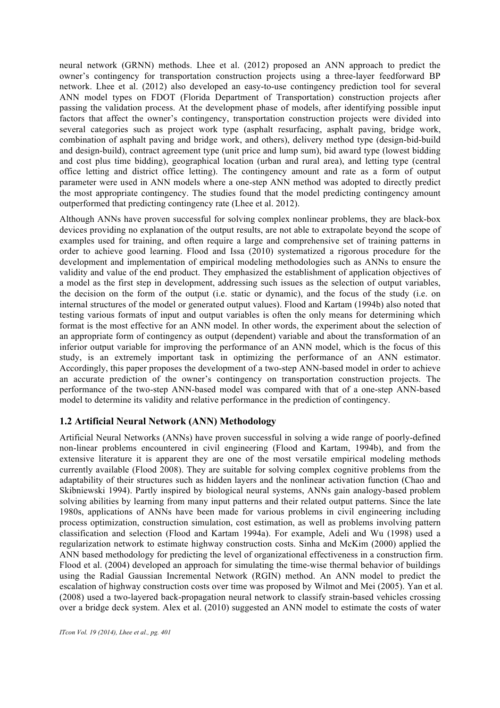neural network (GRNN) methods. Lhee et al. (2012) proposed an ANN approach to predict the owner's contingency for transportation construction projects using a three-layer feedforward BP network. Lhee et al. (2012) also developed an easy-to-use contingency prediction tool for several ANN model types on FDOT (Florida Department of Transportation) construction projects after passing the validation process. At the development phase of models, after identifying possible input factors that affect the owner's contingency, transportation construction projects were divided into several categories such as project work type (asphalt resurfacing, asphalt paving, bridge work, combination of asphalt paving and bridge work, and others), delivery method type (design-bid-build and design-build), contract agreement type (unit price and lump sum), bid award type (lowest bidding and cost plus time bidding), geographical location (urban and rural area), and letting type (central office letting and district office letting). The contingency amount and rate as a form of output parameter were used in ANN models where a one-step ANN method was adopted to directly predict the most appropriate contingency. The studies found that the model predicting contingency amount outperformed that predicting contingency rate (Lhee et al. 2012).

Although ANNs have proven successful for solving complex nonlinear problems, they are black-box devices providing no explanation of the output results, are not able to extrapolate beyond the scope of examples used for training, and often require a large and comprehensive set of training patterns in order to achieve good learning. Flood and Issa (2010) systematized a rigorous procedure for the development and implementation of empirical modeling methodologies such as ANNs to ensure the validity and value of the end product. They emphasized the establishment of application objectives of a model as the first step in development, addressing such issues as the selection of output variables, the decision on the form of the output (i.e. static or dynamic), and the focus of the study (i.e. on internal structures of the model or generated output values). Flood and Kartam (1994b) also noted that testing various formats of input and output variables is often the only means for determining which format is the most effective for an ANN model. In other words, the experiment about the selection of an appropriate form of contingency as output (dependent) variable and about the transformation of an inferior output variable for improving the performance of an ANN model, which is the focus of this study, is an extremely important task in optimizing the performance of an ANN estimator. Accordingly, this paper proposes the development of a two-step ANN-based model in order to achieve an accurate prediction of the owner's contingency on transportation construction projects. The performance of the two-step ANN-based model was compared with that of a one-step ANN-based model to determine its validity and relative performance in the prediction of contingency.

## **1.2 Artificial Neural Network (ANN) Methodology**

Artificial Neural Networks (ANNs) have proven successful in solving a wide range of poorly-defined non-linear problems encountered in civil engineering (Flood and Kartam, 1994b), and from the extensive literature it is apparent they are one of the most versatile empirical modeling methods currently available (Flood 2008). They are suitable for solving complex cognitive problems from the adaptability of their structures such as hidden layers and the nonlinear activation function (Chao and Skibniewski 1994). Partly inspired by biological neural systems, ANNs gain analogy-based problem solving abilities by learning from many input patterns and their related output patterns. Since the late 1980s, applications of ANNs have been made for various problems in civil engineering including process optimization, construction simulation, cost estimation, as well as problems involving pattern classification and selection (Flood and Kartam 1994a). For example, Adeli and Wu (1998) used a regularization network to estimate highway construction costs. Sinha and McKim (2000) applied the ANN based methodology for predicting the level of organizational effectiveness in a construction firm. Flood et al. (2004) developed an approach for simulating the time-wise thermal behavior of buildings using the Radial Gaussian Incremental Network (RGIN) method. An ANN model to predict the escalation of highway construction costs over time was proposed by Wilmot and Mei (2005). Yan et al. (2008) used a two-layered back-propagation neural network to classify strain-based vehicles crossing over a bridge deck system. Alex et al. (2010) suggested an ANN model to estimate the costs of water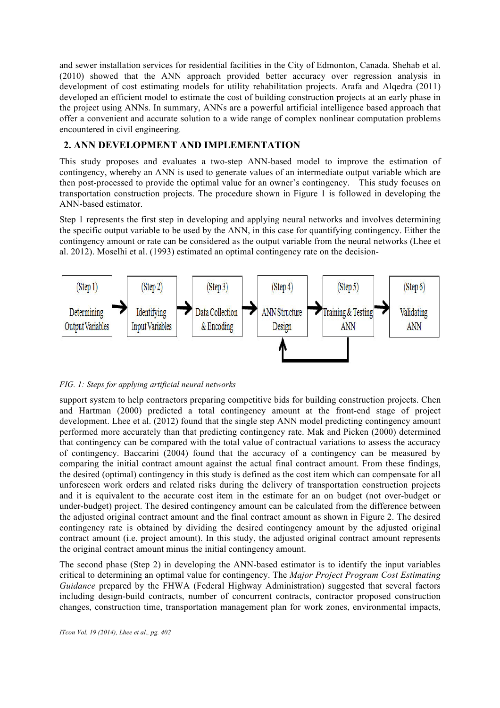and sewer installation services for residential facilities in the City of Edmonton, Canada. Shehab et al. (2010) showed that the ANN approach provided better accuracy over regression analysis in development of cost estimating models for utility rehabilitation projects. Arafa and Alqedra (2011) developed an efficient model to estimate the cost of building construction projects at an early phase in the project using ANNs. In summary, ANNs are a powerful artificial intelligence based approach that offer a convenient and accurate solution to a wide range of complex nonlinear computation problems encountered in civil engineering.

## **2. ANN DEVELOPMENT AND IMPLEMENTATION**

This study proposes and evaluates a two-step ANN-based model to improve the estimation of contingency, whereby an ANN is used to generate values of an intermediate output variable which are then post-processed to provide the optimal value for an owner's contingency. This study focuses on transportation construction projects. The procedure shown in Figure 1 is followed in developing the ANN-based estimator.

Step 1 represents the first step in developing and applying neural networks and involves determining the specific output variable to be used by the ANN, in this case for quantifying contingency. Either the contingency amount or rate can be considered as the output variable from the neural networks (Lhee et al. 2012). Moselhi et al. (1993) estimated an optimal contingency rate on the decision-



#### *FIG. 1: Steps for applying artificial neural networks*

support system to help contractors preparing competitive bids for building construction projects. Chen and Hartman (2000) predicted a total contingency amount at the front-end stage of project development. Lhee et al. (2012) found that the single step ANN model predicting contingency amount performed more accurately than that predicting contingency rate. Mak and Picken (2000) determined that contingency can be compared with the total value of contractual variations to assess the accuracy of contingency. Baccarini (2004) found that the accuracy of a contingency can be measured by comparing the initial contract amount against the actual final contract amount. From these findings, the desired (optimal) contingency in this study is defined as the cost item which can compensate for all unforeseen work orders and related risks during the delivery of transportation construction projects and it is equivalent to the accurate cost item in the estimate for an on budget (not over-budget or under-budget) project. The desired contingency amount can be calculated from the difference between the adjusted original contract amount and the final contract amount as shown in Figure 2. The desired contingency rate is obtained by dividing the desired contingency amount by the adjusted original contract amount (i.e. project amount). In this study, the adjusted original contract amount represents the original contract amount minus the initial contingency amount.

The second phase (Step 2) in developing the ANN-based estimator is to identify the input variables critical to determining an optimal value for contingency. The *Major Project Program Cost Estimating Guidance* prepared by the FHWA (Federal Highway Administration) suggested that several factors including design-build contracts, number of concurrent contracts, contractor proposed construction changes, construction time, transportation management plan for work zones, environmental impacts,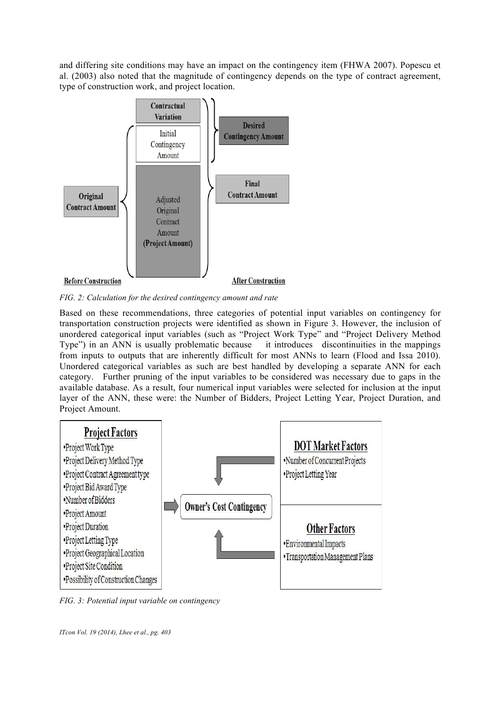and differing site conditions may have an impact on the contingency item (FHWA 2007). Popescu et al. (2003) also noted that the magnitude of contingency depends on the type of contract agreement, type of construction work, and project location.



*FIG. 2: Calculation for the desired contingency amount and rate*

Based on these recommendations, three categories of potential input variables on contingency for transportation construction projects were identified as shown in Figure 3. However, the inclusion of unordered categorical input variables (such as "Project Work Type" and "Project Delivery Method Type") in an ANN is usually problematic because it introduces discontinuities in the mappings from inputs to outputs that are inherently difficult for most ANNs to learn (Flood and Issa 2010). Unordered categorical variables as such are best handled by developing a separate ANN for each category. Further pruning of the input variables to be considered was necessary due to gaps in the available database. As a result, four numerical input variables were selected for inclusion at the input layer of the ANN, these were: the Number of Bidders, Project Letting Year, Project Duration, and Project Amount.



*FIG. 3: Potential input variable on contingency*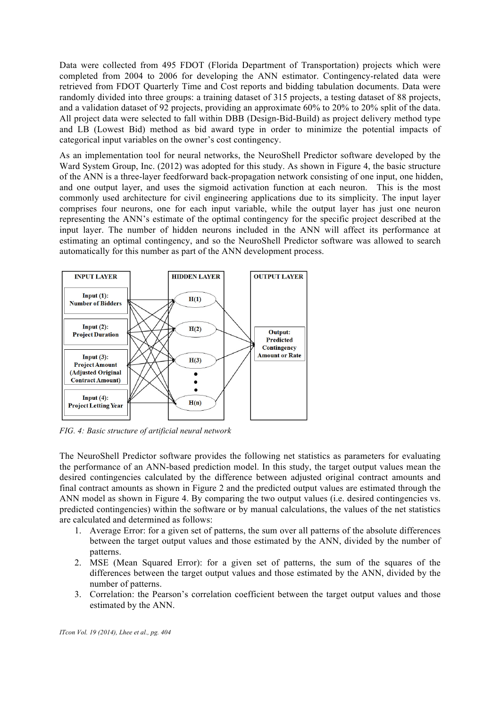Data were collected from 495 FDOT (Florida Department of Transportation) projects which were completed from 2004 to 2006 for developing the ANN estimator. Contingency-related data were retrieved from FDOT Quarterly Time and Cost reports and bidding tabulation documents. Data were randomly divided into three groups: a training dataset of 315 projects, a testing dataset of 88 projects, and a validation dataset of 92 projects, providing an approximate 60% to 20% to 20% split of the data. All project data were selected to fall within DBB (Design-Bid-Build) as project delivery method type and LB (Lowest Bid) method as bid award type in order to minimize the potential impacts of categorical input variables on the owner's cost contingency.

As an implementation tool for neural networks, the NeuroShell Predictor software developed by the Ward System Group, Inc. (2012) was adopted for this study. As shown in Figure 4, the basic structure of the ANN is a three-layer feedforward back-propagation network consisting of one input, one hidden, and one output layer, and uses the sigmoid activation function at each neuron. This is the most commonly used architecture for civil engineering applications due to its simplicity. The input layer comprises four neurons, one for each input variable, while the output layer has just one neuron representing the ANN's estimate of the optimal contingency for the specific project described at the input layer. The number of hidden neurons included in the ANN will affect its performance at estimating an optimal contingency, and so the NeuroShell Predictor software was allowed to search automatically for this number as part of the ANN development process.



*FIG. 4: Basic structure of artificial neural network*

The NeuroShell Predictor software provides the following net statistics as parameters for evaluating the performance of an ANN-based prediction model. In this study, the target output values mean the desired contingencies calculated by the difference between adjusted original contract amounts and final contract amounts as shown in Figure 2 and the predicted output values are estimated through the ANN model as shown in Figure 4. By comparing the two output values (i.e. desired contingencies vs. predicted contingencies) within the software or by manual calculations, the values of the net statistics are calculated and determined as follows:

- 1. Average Error: for a given set of patterns, the sum over all patterns of the absolute differences between the target output values and those estimated by the ANN, divided by the number of patterns.
- 2. MSE (Mean Squared Error): for a given set of patterns, the sum of the squares of the differences between the target output values and those estimated by the ANN, divided by the number of patterns.
- 3. Correlation: the Pearson's correlation coefficient between the target output values and those estimated by the ANN.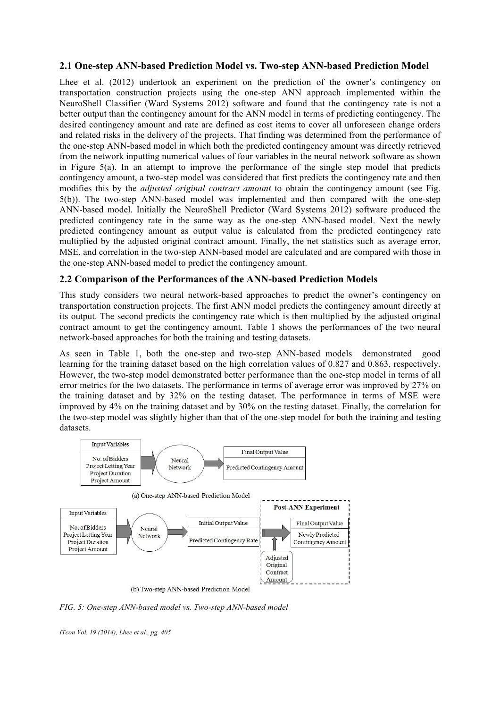### **2.1 One-step ANN-based Prediction Model vs. Two-step ANN-based Prediction Model**

Lhee et al. (2012) undertook an experiment on the prediction of the owner's contingency on transportation construction projects using the one-step ANN approach implemented within the NeuroShell Classifier (Ward Systems 2012) software and found that the contingency rate is not a better output than the contingency amount for the ANN model in terms of predicting contingency. The desired contingency amount and rate are defined as cost items to cover all unforeseen change orders and related risks in the delivery of the projects. That finding was determined from the performance of the one-step ANN-based model in which both the predicted contingency amount was directly retrieved from the network inputting numerical values of four variables in the neural network software as shown in Figure  $5(a)$ . In an attempt to improve the performance of the single step model that predicts contingency amount, a two-step model was considered that first predicts the contingency rate and then modifies this by the *adjusted original contract amount* to obtain the contingency amount (see Fig. 5(b)). The two-step ANN-based model was implemented and then compared with the one-step ANN-based model. Initially the NeuroShell Predictor (Ward Systems 2012) software produced the predicted contingency rate in the same way as the one-step ANN-based model. Next the newly predicted contingency amount as output value is calculated from the predicted contingency rate multiplied by the adjusted original contract amount. Finally, the net statistics such as average error, MSE, and correlation in the two-step ANN-based model are calculated and are compared with those in the one-step ANN-based model to predict the contingency amount.

### **2.2 Comparison of the Performances of the ANN-based Prediction Models**

This study considers two neural network-based approaches to predict the owner's contingency on transportation construction projects. The first ANN model predicts the contingency amount directly at its output. The second predicts the contingency rate which is then multiplied by the adjusted original contract amount to get the contingency amount. Table 1 shows the performances of the two neural network-based approaches for both the training and testing datasets.

As seen in Table 1, both the one-step and two-step ANN-based models demonstrated good learning for the training dataset based on the high correlation values of 0.827 and 0.863, respectively. However, the two-step model demonstrated better performance than the one-step model in terms of all error metrics for the two datasets. The performance in terms of average error was improved by 27% on the training dataset and by 32% on the testing dataset. The performance in terms of MSE were improved by 4% on the training dataset and by 30% on the testing dataset. Finally, the correlation for the two-step model was slightly higher than that of the one-step model for both the training and testing datasets.



*FIG. 5: One-step ANN-based model vs. Two-step ANN-based model*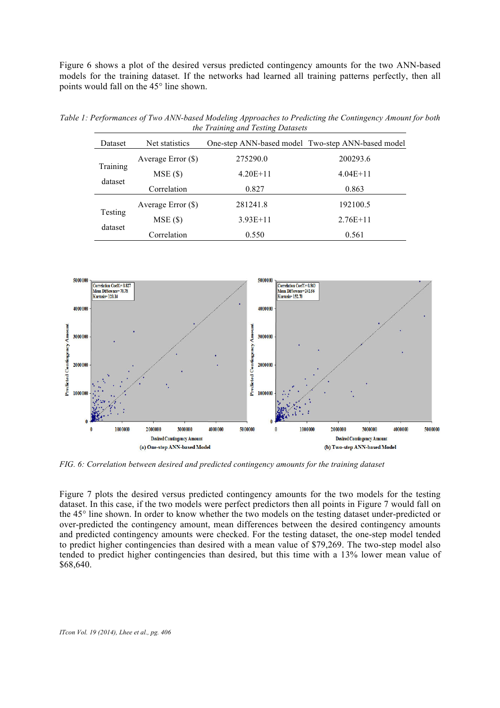Figure 6 shows a plot of the desired versus predicted contingency amounts for the two ANN-based models for the training dataset. If the networks had learned all training patterns perfectly, then all points would fall on the 45° line shown.

| Dataset             | Net statistics       |            | One-step ANN-based model Two-step ANN-based model |  |  |
|---------------------|----------------------|------------|---------------------------------------------------|--|--|
| Training<br>dataset | Average Error $(\$)$ | 275290.0   | 200293.6                                          |  |  |
|                     | $MSE($ \$)           | $4.20E+11$ | $4.04E+11$                                        |  |  |
|                     | Correlation          | 0.827      | 0.863                                             |  |  |
| Testing<br>dataset  | Average Error $(\$)$ | 281241.8   | 192100.5                                          |  |  |
|                     | $MSE($ \$)           | $3.93E+11$ | $2.76E+11$                                        |  |  |
|                     | Correlation          | 0.550      | 0.561                                             |  |  |

*Table 1: Performances of Two ANN-based Modeling Approaches to Predicting the Contingency Amount for both the Training and Testing Datasets*



*FIG. 6: Correlation between desired and predicted contingency amounts for the training dataset*

Figure 7 plots the desired versus predicted contingency amounts for the two models for the testing dataset. In this case, if the two models were perfect predictors then all points in Figure 7 would fall on the 45° line shown. In order to know whether the two models on the testing dataset under-predicted or over-predicted the contingency amount, mean differences between the desired contingency amounts and predicted contingency amounts were checked. For the testing dataset, the one-step model tended to predict higher contingencies than desired with a mean value of \$79,269. The two-step model also tended to predict higher contingencies than desired, but this time with a 13% lower mean value of \$68,640.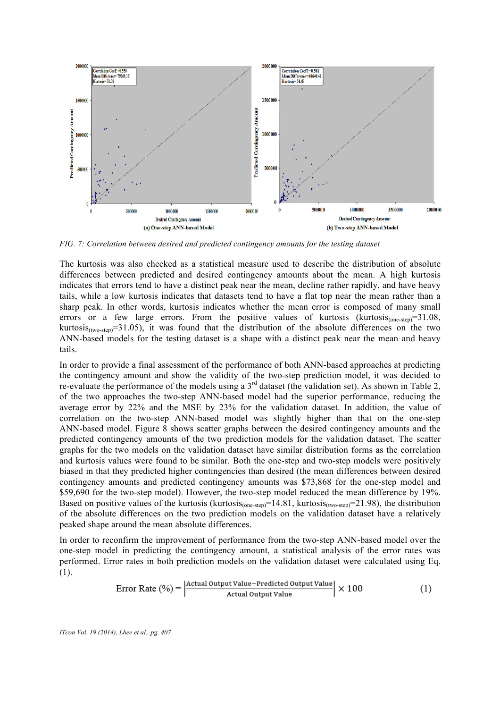

*FIG. 7: Correlation between desired and predicted contingency amounts for the testing dataset*

The kurtosis was also checked as a statistical measure used to describe the distribution of absolute differences between predicted and desired contingency amounts about the mean. A high kurtosis indicates that errors tend to have a distinct peak near the mean, decline rather rapidly, and have heavy tails, while a low kurtosis indicates that datasets tend to have a flat top near the mean rather than a sharp peak. In other words, kurtosis indicates whether the mean error is composed of many small errors or a few large errors. From the positive values of kurtosis (kurtosis $_{\text{(one-step)}} = 31.08$ , kurtosis $_{\text{(two-step)}}$ =31.05), it was found that the distribution of the absolute differences on the two ANN-based models for the testing dataset is a shape with a distinct peak near the mean and heavy tails.

In order to provide a final assessment of the performance of both ANN-based approaches at predicting the contingency amount and show the validity of the two-step prediction model, it was decided to re-evaluate the performance of the models using a 3rd dataset (the validation set). As shown in Table 2, of the two approaches the two-step ANN-based model had the superior performance, reducing the average error by 22% and the MSE by 23% for the validation dataset. In addition, the value of correlation on the two-step ANN-based model was slightly higher than that on the one-step ANN-based model. Figure 8 shows scatter graphs between the desired contingency amounts and the predicted contingency amounts of the two prediction models for the validation dataset. The scatter graphs for the two models on the validation dataset have similar distribution forms as the correlation and kurtosis values were found to be similar. Both the one-step and two-step models were positively biased in that they predicted higher contingencies than desired (the mean differences between desired contingency amounts and predicted contingency amounts was \$73,868 for the one-step model and \$59,690 for the two-step model). However, the two-step model reduced the mean difference by 19%. Based on positive values of the kurtosis (kurtosis<sub>(one-step)</sub>=14.81, kurtosis<sub>(two-step</sub>)=21.98), the distribution of the absolute differences on the two prediction models on the validation dataset have a relatively peaked shape around the mean absolute differences.

In order to reconfirm the improvement of performance from the two-step ANN-based model over the one-step model in predicting the contingency amount, a statistical analysis of the error rates was performed. Error rates in both prediction models on the validation dataset were calculated using Eq. (1).

$$
Error Rate (%) = \left| \frac{Actual Output Value - Predicted Output Value}{Actual Output Value} \right| \times 100
$$
 (1)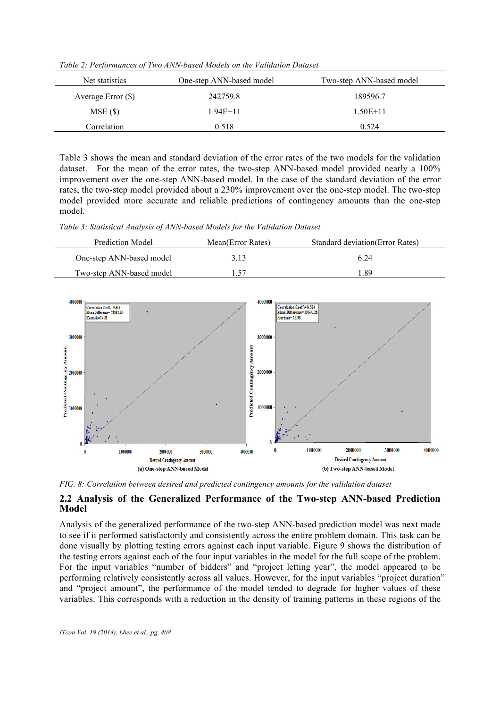*Table 2: Performances of Two ANN-based Models on the Validation Dataset*

| Net statistics       | One-step ANN-based model | Two-step ANN-based model |
|----------------------|--------------------------|--------------------------|
| Average Error $(\$)$ | 242759.8                 | 189596.7                 |
| $MSE($ \$)           | $1.94E+11$               | $1.50E+11$               |
| Correlation          | 0.518                    | 0.524                    |

Table 3 shows the mean and standard deviation of the error rates of the two models for the validation dataset. For the mean of the error rates, the two-step ANN-based model provided nearly a 100% improvement over the one-step ANN-based model. In the case of the standard deviation of the error rates, the two-step model provided about a 230% improvement over the one-step model. The two-step model provided more accurate and reliable predictions of contingency amounts than the one-step model.

*Table 3: Statistical Analysis of ANN-based Models for the Validation Dataset*

| Prediction Model         | Mean(Error Rates) | <b>Standard deviation (Error Rates)</b> |
|--------------------------|-------------------|-----------------------------------------|
| One-step ANN-based model | 3.13              | 6 24                                    |
| Two-step ANN-based model | 1.57              | 189                                     |



*FIG. 8: Correlation between desired and predicted contingency amounts for the validation dataset*

#### **2.2 Analysis of the Generalized Performance of the Two-step ANN-based Prediction Model**

Analysis of the generalized performance of the two-step ANN-based prediction model was next made to see if it performed satisfactorily and consistently across the entire problem domain. This task can be done visually by plotting testing errors against each input variable. Figure 9 shows the distribution of the testing errors against each of the four input variables in the model for the full scope of the problem. For the input variables "number of bidders" and "project letting year", the model appeared to be performing relatively consistently across all values. However, for the input variables "project duration" and "project amount", the performance of the model tended to degrade for higher values of these variables. This corresponds with a reduction in the density of training patterns in these regions of the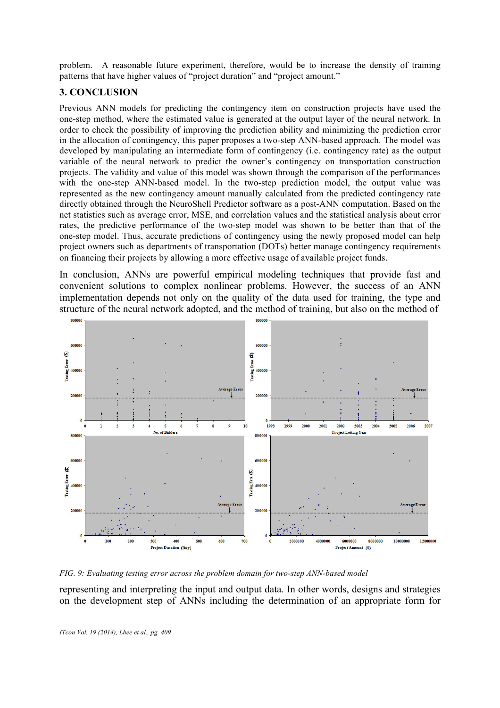problem. A reasonable future experiment, therefore, would be to increase the density of training patterns that have higher values of "project duration" and "project amount."

# **3. CONCLUSION**

Previous ANN models for predicting the contingency item on construction projects have used the one-step method, where the estimated value is generated at the output layer of the neural network. In order to check the possibility of improving the prediction ability and minimizing the prediction error in the allocation of contingency, this paper proposes a two-step ANN-based approach. The model was developed by manipulating an intermediate form of contingency (i.e. contingency rate) as the output variable of the neural network to predict the owner's contingency on transportation construction projects. The validity and value of this model was shown through the comparison of the performances with the one-step ANN-based model. In the two-step prediction model, the output value was represented as the new contingency amount manually calculated from the predicted contingency rate directly obtained through the NeuroShell Predictor software as a post-ANN computation. Based on the net statistics such as average error, MSE, and correlation values and the statistical analysis about error rates, the predictive performance of the two-step model was shown to be better than that of the one-step model. Thus, accurate predictions of contingency using the newly proposed model can help project owners such as departments of transportation (DOTs) better manage contingency requirements on financing their projects by allowing a more effective usage of available project funds.

In conclusion, ANNs are powerful empirical modeling techniques that provide fast and convenient solutions to complex nonlinear problems. However, the success of an ANN implementation depends not only on the quality of the data used for training, the type and structure of the neural network adopted, and the method of training, but also on the method of



*FIG. 9: Evaluating testing error across the problem domain for two-step ANN-based model*

representing and interpreting the input and output data. In other words, designs and strategies on the development step of ANNs including the determination of an appropriate form for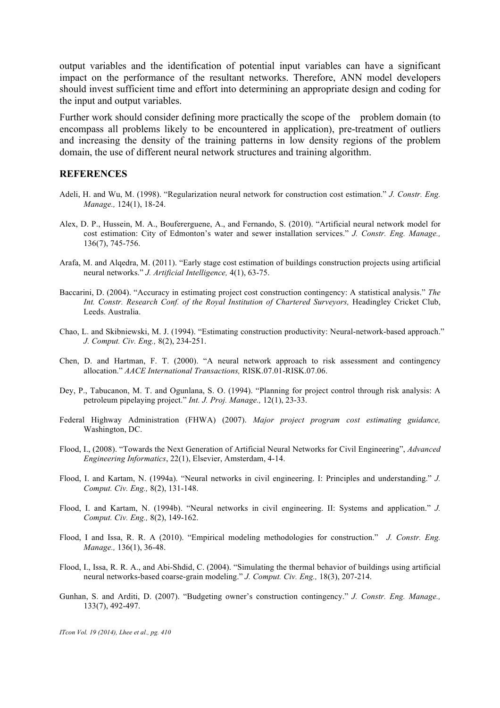output variables and the identification of potential input variables can have a significant impact on the performance of the resultant networks. Therefore, ANN model developers should invest sufficient time and effort into determining an appropriate design and coding for the input and output variables.

Further work should consider defining more practically the scope of the problem domain (to encompass all problems likely to be encountered in application), pre-treatment of outliers and increasing the density of the training patterns in low density regions of the problem domain, the use of different neural network structures and training algorithm.

#### **REFERENCES**

- Adeli, H. and Wu, M. (1998). "Regularization neural network for construction cost estimation." *J. Constr. Eng. Manage.,* 124(1), 18-24.
- Alex, D. P., Hussein, M. A., Boufererguene, A., and Fernando, S. (2010). "Artificial neural network model for cost estimation: City of Edmonton's water and sewer installation services." *J. Constr. Eng. Manage.,* 136(7), 745-756.
- Arafa, M. and Alqedra, M. (2011). "Early stage cost estimation of buildings construction projects using artificial neural networks." *J. Artificial Intelligence,* 4(1), 63-75.
- Baccarini, D. (2004). "Accuracy in estimating project cost construction contingency: A statistical analysis." *The Int. Constr. Research Conf. of the Royal Institution of Chartered Surveyors,* Headingley Cricket Club, Leeds. Australia.
- Chao, L. and Skibniewski, M. J. (1994). "Estimating construction productivity: Neural-network-based approach." *J. Comput. Civ. Eng.,* 8(2), 234-251.
- Chen, D. and Hartman, F. T. (2000). "A neural network approach to risk assessment and contingency allocation." *AACE International Transactions,* RISK.07.01-RISK.07.06.
- Dey, P., Tabucanon, M. T. and Ogunlana, S. O. (1994). "Planning for project control through risk analysis: A petroleum pipelaying project." *Int. J. Proj. Manage.,* 12(1), 23-33.
- Federal Highway Administration (FHWA) (2007). *Major project program cost estimating guidance,* Washington, DC.
- Flood, I., (2008). "Towards the Next Generation of Artificial Neural Networks for Civil Engineering", *Advanced Engineering Informatics*, 22(1), Elsevier, Amsterdam, 4-14.
- Flood, I. and Kartam, N. (1994a). "Neural networks in civil engineering. I: Principles and understanding." *J. Comput. Civ. Eng.,* 8(2), 131-148.
- Flood, I. and Kartam, N. (1994b). "Neural networks in civil engineering. II: Systems and application." *J. Comput. Civ. Eng.,* 8(2), 149-162.
- Flood, I and Issa, R. R. A (2010). "Empirical modeling methodologies for construction." *J. Constr. Eng. Manage.,* 136(1), 36-48.
- Flood, I., Issa, R. R. A., and Abi-Shdid, C. (2004). "Simulating the thermal behavior of buildings using artificial neural networks-based coarse-grain modeling." *J. Comput. Civ. Eng.,* 18(3), 207-214.
- Gunhan, S. and Arditi, D. (2007). "Budgeting owner's construction contingency." *J. Constr. Eng. Manage.,*  133(7), 492-497.